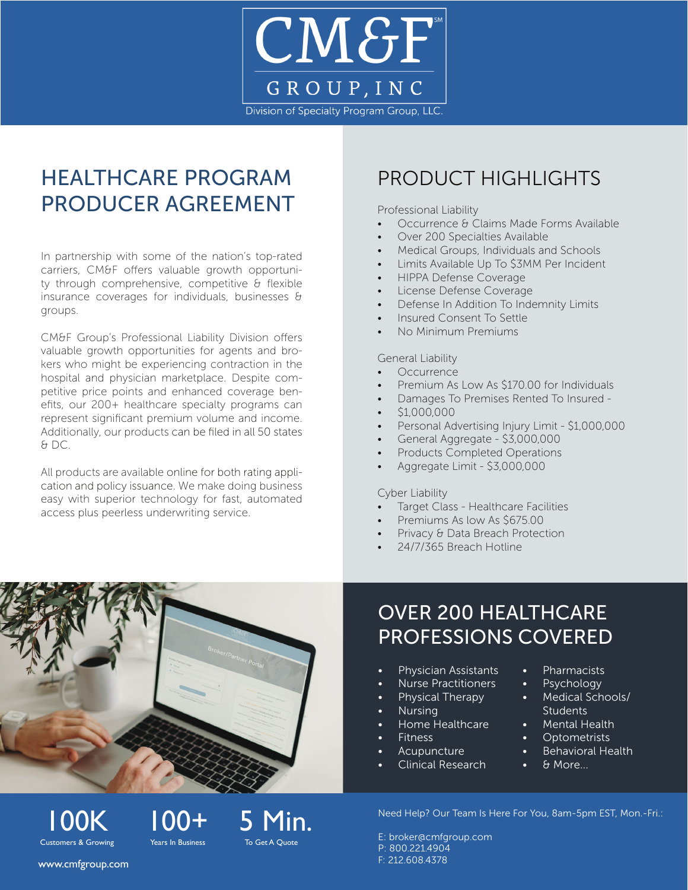

# HEALTHCARE PROGRAM PRODUCER AGREEMENT

In partnership with some of the nation's top-rated carriers, CM&F offers valuable growth opportunity through comprehensive, competitive & flexible insurance coverages for individuals, businesses & groups.

CM&F Group's Professional Liability Division offers valuable growth opportunities for agents and brokers who might be experiencing contraction in the hospital and physician marketplace. Despite competitive price points and enhanced coverage benefits, our 200+ healthcare specialty programs can represent significant premium volume and income. Additionally, our products can be filed in all 50 states & DC.

All products are available online for both rating application and policy issuance. We make doing business easy with superior technology for fast, automated access plus peerless underwriting service.

## PRODUCT HIGHLIGHTS

Professional Liability

- Occurrence & Claims Made Forms Available
- Over 200 Specialties Available
- Medical Groups, Individuals and Schools
- Limits Available Up To \$3MM Per Incident
- HIPPA Defense Coverage
- License Defense Coverage
- Defense In Addition To Indemnity Limits
- Insured Consent To Settle
- No Minimum Premiums

General Liability

- **Occurrence**
- Premium As Low As \$170.00 for Individuals
- Damages To Premises Rented To Insured -
- \$1,000,000
- Personal Advertising Injury Limit \$1,000,000
- General Aggregate \$3,000,000
- Products Completed Operations
- Aggregate Limit \$3,000,000

#### Cyber Liability

- Target Class Healthcare Facilities
- Premiums As low As \$675.00
- Privacy & Data Breach Protection
- 24/7/365 Breach Hotline

## OVER 200 HEALTHCARE PROFESSIONS COVERED

- Physician Assistants
- Nurse Practitioners
	- Physical Therapy
- Nursing
- Home Healthcare
- **Fitness** 
	- **Acupuncture**
- Clinical Research
- Pharmacists
- Psychology
- Medical Schools/ Students
- Mental Health
- Optometrists
- Behavioral Health
- & More...

Need Help? Our Team Is Here For You, 8am-5pm EST, Mon.-Fri.:

E: broker[@cmfgroup.com](mailto:broker%40cmfgroup.com?subject=Broker%20Appointment%20Inquiry) P: 800.221.4904 F: 212.608.4378

www.cmfgroup.com

Customers & Growing

 $100K$   $100+$   $100+$   $100+$   $100+$   $100+$   $100+$   $100+$   $100+$   $100+$   $100+$   $100+$   $100+$   $100+$   $100+$   $100+$   $100+$   $100+$   $100+$   $100+$   $100+$   $100+$   $100+$   $100+$   $100+$   $100+$   $100+$   $100+$   $100+$   $100+$   $100+$   $100$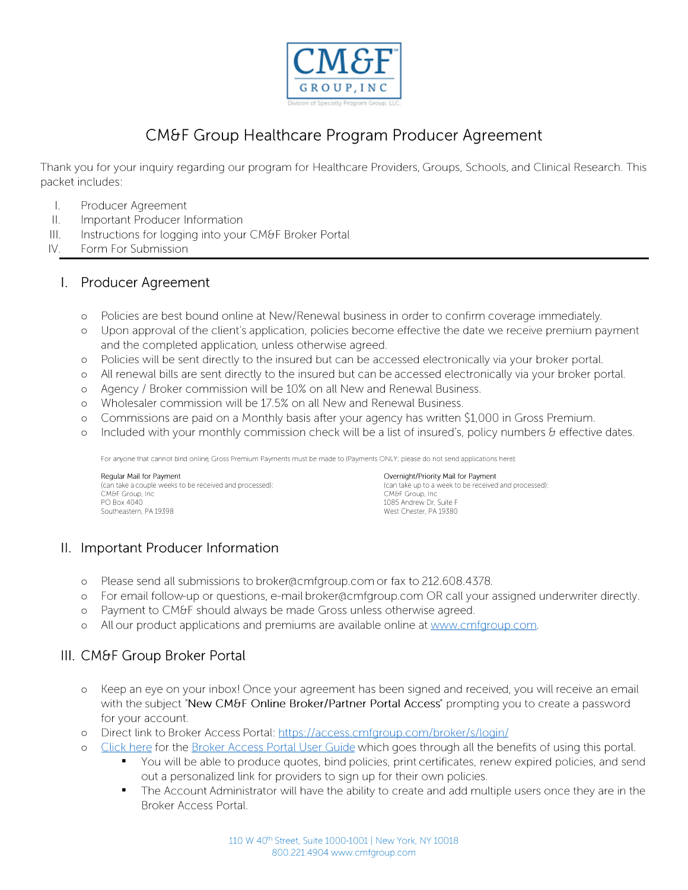

### **CM&F Group Healthcare Program Producer Agreement**

Thank you for your inquiry regarding our program for Healthcare Providers, Groups, Schools, and Clinical Research. This packet includes:

- $\mathbf{L}$ Producer Agreement
- $\mathbf{II}$ . Important Producer Information
- $III.$ Instructions for logging into your CM&F Broker Portal
- IV. Form For Submission

#### Producer Agreement L.

- Policies are best bound online at New/Renewal business in order to confirm coverage immediately.  $\circ$
- Upon approval of the client's application, policies become effective the date we receive premium payment  $\circ$ and the completed application, unless otherwise agreed.
- Policies will be sent directly to the insured but can be accessed electronically via your broker portal.  $\circ$
- All renewal bills are sent directly to the insured but can be accessed electronically via your broker portal.  $\circ$
- Agency / Broker commission will be 10% on all New and Renewal Business.  $\circ$
- Wholesaler commission will be 17.5% on all New and Renewal Business.  $\circ$
- Commissions are paid on a Monthly basis after your agency has written \$1,000 in Gross Premium.  $\circ$
- Included with your monthly commission check will be a list of insured's, policy numbers & effective dates.  $\circ$

For anyone that cannot bind online, Gross Premium Payments must be made to (Payments ONLY; please do not send applications here):

Regular Mail for Payment (can take a couple weeks to be received and processed): CM&F Group, Inc. PO Box 4040 Southeastern, PA 19398

Overnight/Priority Mail for Payment (can take up to a week to be received and processed): CM&F Group, Inc. 1085 Andrew Dr, Suite F West Chester, PA 19380

### II. Important Producer Information

- Please send all submissions to broker@cmfgroup.com or fax to 212.608.4378.  $\circ$
- For email follow-up or questions, e-mail broker@cmfgroup.com OR call your assigned underwriter directly.  $\circ$
- Payment to CM&F should always be made Gross unless otherwise agreed.  $\circ$
- All our product applications and premiums are available online at www.cmfgroup.com.  $\circ$

### III. CM&F Group Broker Portal

- o Keep an eye on your inbox! Once your agreement has been signed and received, you will receive an email with the subject "New CM&F Online Broker/Partner Portal Access" prompting you to create a password for your account.
- Direct link to Broker Access Portal: https://access.cmfgroup.com/broker/s/login/  $\Omega$
- Click here for the Broker Access Portal User Guide which goes through all the benefits of using this portal.  $\circ$ 
	- You will be able to produce quotes, bind policies, print certificates, renew expired policies, and send out a personalized link for providers to sign up for their own policies.
		- The Account Administrator will have the ability to create and add multiple users once they are in the  $\blacksquare$ Broker Access Portal.